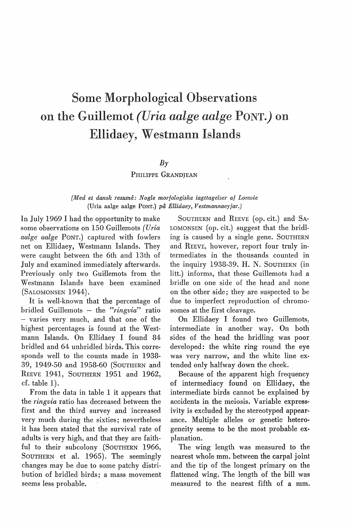# Some Morphological Observations on the Guillemot *(Uria aalge aalge* PONT.) on Ellidaey, Westmann Islands

#### $Bv$

#### PHILIPPE GRANDJEAN

### *(Med et dansk resume: Nogle morfologiske iagttagelser af Lomvie*  (Uria aalge aalge PoNT.) *på Ellidaey, Vestmannaeyjar.)*

In July 1969 I had the opportunity to make some observations on 150 Guillemots *(Uria aalge aalge* PoNT.) captured with fowlers net on Ellidaey, Westmann Islands. They were caught between the 6th and 13th of July and examined immediately afterwards. Previously only two Guillemots from the Westmann Islands have been examined (SALOMONSEN 1944).

It is well-known that the percentage of bridled Guillemots - the *"ringvia"* ratio - varies very much, and that one of the highest percentages is found at the Westmann Islands. On Ellidaey I found 84 bridled and 64 unbridled hirds. This corresponds well to the counts made in 1938- 39, 1949-50 and 1958-60 (SouTHERN and REEVE 1941, SouTHERN 1951 and 1962, cf. table 1).

From the data in table 1 it appears that the *ringvia* ratio has decreased between the first and the third survey and increased very much during the sixties; nevertheless it has been stated that the survival rate of adults is very high, and that they are faithful to their subcolony (SOUTHERN 1966, SOUTHERN et al. 1965). The seemingly changes may be due to some patchy distribution of bridled hirds; a mass movement seems less probable.

SoUTHERN and REEVE (op. cit.) and SA-LOMONSEN (op. cit.) suggest that the bridling is caused by a single gene. SOUTHERN and REEVE, however, report four truly intermediates in the thousands counted in the inquiry 1938-39. H. N. SOUTHERN (in litt.) informs, that these Guillemots had a bridle on one side of the head and none on the other side; they are suspected to be due to imperfect reproduction of chromosomes at the first cleavage.

On Ellidaey I found two Guillemots: intermediate in another way. On both sides of the head the bridling was poor developed: the white ring round the eye was very narrow, and the white line extended only halfway down the cheek.

Because of the apparent high frequency of intermediacy found on Ellidaey, the intermediate hirds cannot be explained by accidents in the meiosis. Variable expressivity is excluded by the stereotyped appearance. Multiple alleles or genetic heterogeneity seems to be the most probable explanation.

The wing length was measured to the nearest whole mm. between the carpal joint and the tip of the longest primary on the flattened wing. The length of the bill was measured to the nearest fifth of a mm.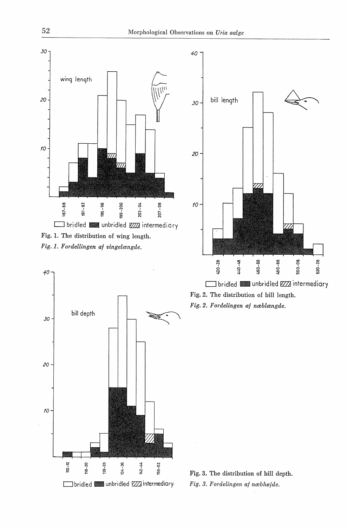

*Fig. 1. F ordellingen af vingelængde.* 





Fig. 2. The distribution of bill length. *Fig. 2. Fordelingen af næblængde.* 

Fig. 3. The distribution of bill depth. *Fig. 3. Fordelingen af næbhøjde.* 

*40*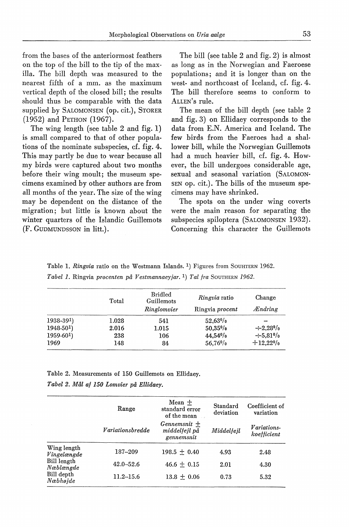from the bases of the anteriormost feathers on the top of the bill to the tip of the maxilla. The bill depth was measured to the nearest fifth of a mm. as the maximum vertical depth of the closed bill; the results should thus be comparable with the data supplied by SALOMONSEN (op. cit.), STORER (1952) and PETHON (1967).

The wing length (see table 2 and fig. 1) is small compared to that of other populations of the nominate subspecies, cf. fig. 4. This may partly be due to wear because all my hirds were captured about two months before their wing moult; the museum specimens examined. by other authors are from all months of the year. The size of the wing may be dependent on the distance of the migration; but little is known about the winter quarters of the Islandic Guillemots (F. GUDMUNDSSON in litt.).

The bill (see table 2 and fig. 2) is almost as long as in the Norwegian and Faeroese populations; and it is longer than on the west- and northcoast of Iceland, cf. fig. 4. The bill therefore seems to conform to ALLEN's rule.

The mean of the bill depth (see table 2 and fig. 3) on Ellidaey corresponds to the data from E.N. America and Iceland. The few hirds from the Faeroes had a shallower bill, while the Norwegian Guillemots had a much heavier bill, cf. fig. 4. However, the bill undergoes considerable age, sexual and seasonal variation (SALOMON-SEN op. cit.). The bills of the museum specimens may have shrinked.

The spots on the under wing coverts were the main reason for separating the subspecies spiloptera (SALOMONSEN 1932). Concerning this charaoter the Guillemots

|            | Total | <b>Bridled</b><br>Guillemots<br>Ringlomvier | <i>Ringvia</i> ratio<br>Ringvia procent | Change<br><i>Ændring</i> |
|------------|-------|---------------------------------------------|-----------------------------------------|--------------------------|
| $1938-391$ | 1.028 | 541                                         | $52.63\%$                               |                          |
| $1948-501$ | 2.016 | 1.015                                       | $50.35\%$                               | $\div 2.28\%$            |
| $1959-601$ | 238   | 106                                         | $44.54\%$                               | $\div 5.81\%$            |
| 1969       | 148   | 84                                          | 56,76%                                  | $+12.22\%$               |

Table 1. *Ringvia* ratio on the Westmann Islands. <sup>1</sup>) Figures from SOUHTERN 1962. *Tabel 1.* Ringvia *procenten på V estmannaeyjar.* <sup>1</sup>) *Tal fra* SOUTHERN 1962.

Table 2. Measurements of 150 Guillemots on Ellidaey.

*Tabel 2. Mål af 150 Lomvier på Ellidaey.* 

|                            | Range            | $Mean +$<br>standard error<br>of the mean     | Standard<br>deviation | Coefficient of<br>variation       |  |
|----------------------------|------------------|-----------------------------------------------|-----------------------|-----------------------------------|--|
|                            | Variationsbredde | $Gennemsnit +$<br>middelfejl på<br>gennemsnit | Middelfeil            | <i>Variations-</i><br>koefficient |  |
| Wing length<br>Vingelængde | 187-209          | $198.5 + 0.40$                                | 4.93                  | 2.48                              |  |
| Bill length<br>Næblængde   | $42.0 - 52.6$    | $46.6 + 0.15$                                 | 2.01                  | 4.30                              |  |
| Bill depth<br>Næbhøide     | $11.2 - 15.6$    | $13.8 \pm 0.06$                               | 0.73                  | 5.32                              |  |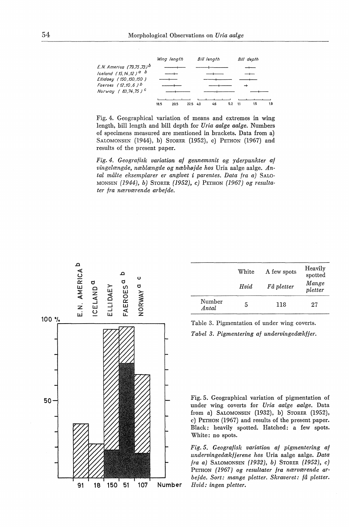

Fig. 4. Geographical variation of means and extremes in wing length, bill length and bill depth for *Uria aalge aalge.* Numbers of specimens measured are mentioned in brackets. Data from a) SALOMONSEN (1944), b) STORER (1952), c) PETHON (1967) and results of the present paper.

*Fig. 4. Geografisk variation af gennemsnit og yderpunkter af vingelængde, næblængde og næbhøjde hos* Uria aalge aalge. *Antal målte eksemplarer er angivet* i *parentes. Data fra a)* SALO-MONSEN *(1944), b)* STORER *(1952), c)* PETHON *(1967) og resultater fra nærværende arbejde .* 



| $\frac{D}{4}$<br>ш<br>--<br>ш<br>ပ<br>LL. |  | ပ<br>ರ          |  | White<br>Hvid | A few spots<br>Få pletter | Heavily<br>spotted<br>Mange<br>pletter |
|-------------------------------------------|--|-----------------|--|---------------|---------------------------|----------------------------------------|
|                                           |  | Number<br>Antal |  | 118           | 27                        |                                        |

Table 3. Pigmentation of under wing coverts. *Tabel 3. Pigmentering af undervingedækfjer.* 

Fig. 5. Geographical variation of pigmentation of under wing coverts for *Uria aalge aalge.* Data from a) SALOMONSEN (1932), b) STORER (1952), c) PETHON (1967) and results of the present paper. Black: heavily spotted. Hatched: a few spots. White: no spots.

*Fig. 5. Geografisk variation af pigmentering af undervingedækfjerene hos* Uria aalge aalge. *Data fra a)* SALOMONSEN *(1932), b)* STORER *(1952), c)*  PETHON *( 1967) og resultater fra nærværende ar· bejde. Sort: mange pletter. Skraveret: få pletter.*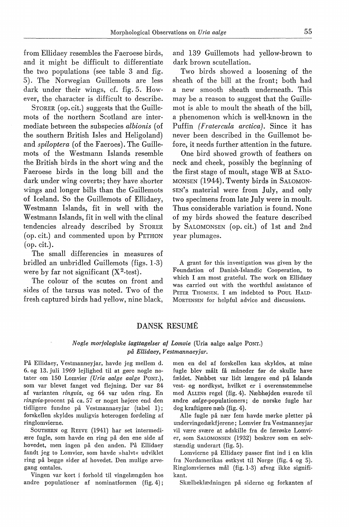from Ellidaey resembles the Faeroese hirds, and it might be difficult to differentiate the two populations (see table 3 and fig. 5). The Norwegian Guillemots are less dark under their wings, cf. fig. 5. However, the character is difficult to descrihe.

STORER (op. cit.) suggests that the Guillemots of the northern Scotland are intermediate between the subspecies *albionis* ( of the southern British Isles and Heligoland) and *spiloptera* (of the Faeroes). The Guillemots of the Westmann Islands resemble the British hirds in the short wing and the Faeroese hirds in the long bill and the dark under wing coverts; they have shorter wings and longer bills than the Guillemots of Iceland. So the Guillemots of Ellidaey, Westmann Islands, fit in well with the Westmann Islands, fit in well with the clinal tendencies already descrihed by STORER (op. cit.) and commented upon by PETHON (op. cit.).

The small differencies in measures of bridled an unhridled Guillemots (figs. 1-3) were by far not significant  $(X^2$ -test).

The colour of the scutes on front and sides of the tarsus was noted. Two of the fresh captured hirds had yellow, nine black, and 139 Guillemots had yellow-hrown to dark brown scutellation.

Two hirds showed a loosening of the sheath of the hill at the front; hoth had a new smooth sheath underneath. This may he a reason to suggest that the Guillemot is able to moult the sheath of the bill, a phenomenon which is well-known in the Puffin *(Fratercula arctica).* Since it has never heen descrihed in the Guillemot before, it needs further attention in the future.

One hird showed growth of feathers on neck and cheek, possihly the heginning of the first stage of moult, stage WB at SALO-MONSEN (1944). Twenty hirds in SALOMON-SEN's material were from July, and only two specimens from late July were in moult. Thus considerable variation is found. None of my hirds showed the feature described by SALOMONSEN (op. cit.) of lst and 2nd year plumages.

A grant for this investigation was given by the Foundation of Danish-Islandic Cooperation, to which I am most grateful. The work on Ellidaey was carried out with the worthful assistance of PETER THOMSEN. I am indebted to POUL HALD-MoRTENSEN for helpful advice and discussions.

### DANSK RESUME

#### *Nogle morfologiske iagttagelser af Lomvie* (Uria aalge aalge PoNr.) *på Ellidaey, Vestmannaeyjar.*

På Ellidaey, Vestmanneyjar, havde jeg mellem d. 6. og 13. juli 1969 lejlighed til at gøre nogle notater om 150 Lomvier *(Uria aalge aalge* PoNT.), som var blevet fanget ved flejning. Der var 84 af varianten *ringvia,* og 64 var uden ring. En *ringvia-procent* på ca. 57 er noget højere end den tidligere fundne på Vestmannaeyjar (tabel 1); forskellen skyldes muligvis heterogen fordeling af ringlomvierne.

SouTHERN og REEVE (1941) har set intermediære fugle, som havde en ring på den ene side af hovedet, men ingen på den anden. På Ellidaey fandt jeg to Lomvier, som havde »halvt« udviklet ring på begge sider af hovedet. Den mulige arvegang omtales.

Vingen var kort i forhold til vingelængden hos andre populationer af nominatformen (fig. 4);

men en del af forskellen kan skyldes, at mine fugle blev målt få måneder før de skulle have fældet. Næbbet var lidt længere end på Islands vest- og nordkyst, hvilket er i overensstemmelse med ALLENS regel (fig. 4). Næbhøjden svarede til andre aalge-populationers; de norske fugle har dog kraftigere næh (fig. 4).

Alle fugle på nær fem havde mørke pletter på undervingedækfjerene; Lomvier fra Vestmanneyjar vil være svære at adskille fra de færøske Lomvier, som SALOMONSEN (1932) beskrev som en selvstændig underart (fig. 5).

Lomvierne på Ellidaey passer fint ind i en klin fra Nordamerikas østkyst til Norge (fig. 4 og 5). Ringlomviernes mål (fig. 1-3) afveg ikke signifikant.

Skælbeklædningen på siderne og forkanten af